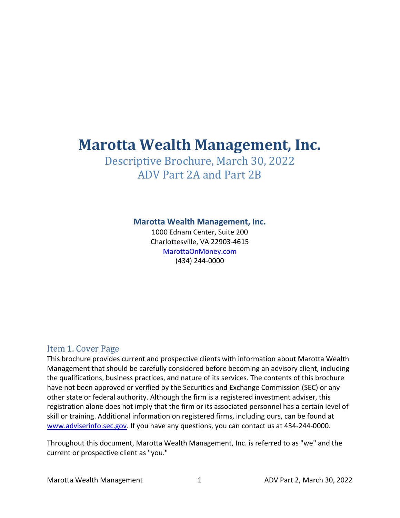# Marotta Wealth Management, Inc.

## Descriptive Brochure, March 30, 2022 ADV Part 2A and Part 2B

#### Marotta Wealth Management, Inc.

1000 Ednam Center, Suite 200 Charlottesville, VA 22903-4615 MarottaOnMoney.com (434) 244-0000

#### Item 1. Cover Page

This brochure provides current and prospective clients with information about Marotta Wealth Management that should be carefully considered before becoming an advisory client, including the qualifications, business practices, and nature of its services. The contents of this brochure have not been approved or verified by the Securities and Exchange Commission (SEC) or any other state or federal authority. Although the firm is a registered investment adviser, this registration alone does not imply that the firm or its associated personnel has a certain level of skill or training. Additional information on registered firms, including ours, can be found at www.adviserinfo.sec.gov. If you have any questions, you can contact us at 434-244-0000.

Throughout this document, Marotta Wealth Management, Inc. is referred to as "we" and the current or prospective client as "you."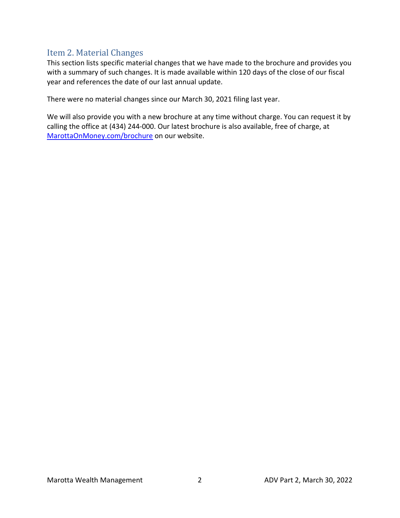### Item 2. Material Changes

This section lists specific material changes that we have made to the brochure and provides you with a summary of such changes. It is made available within 120 days of the close of our fiscal year and references the date of our last annual update.

There were no material changes since our March 30, 2021 filing last year.

We will also provide you with a new brochure at any time without charge. You can request it by calling the office at (434) 244-000. Our latest brochure is also available, free of charge, at MarottaOnMoney.com/brochure on our website.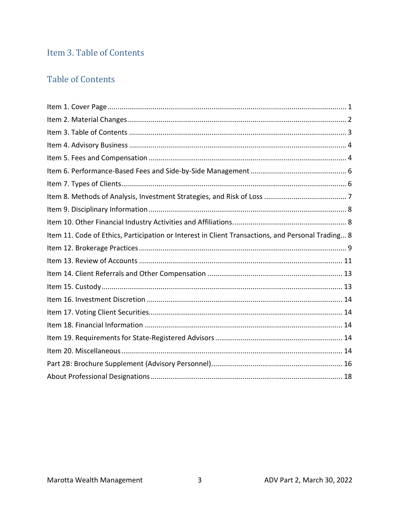## Item 3. Table of Contents

### **Table of Contents**

| Item 11. Code of Ethics, Participation or Interest in Client Transactions, and Personal Trading 8 |
|---------------------------------------------------------------------------------------------------|
|                                                                                                   |
|                                                                                                   |
|                                                                                                   |
|                                                                                                   |
|                                                                                                   |
|                                                                                                   |
|                                                                                                   |
|                                                                                                   |
|                                                                                                   |
|                                                                                                   |
|                                                                                                   |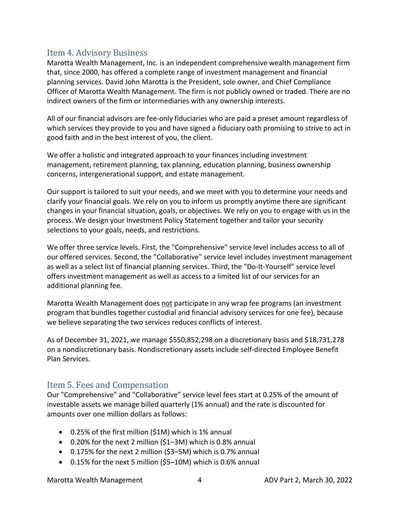### Item 4. Advisory Business

Marotta Wealth Management, Inc. is an independent comprehensive wealth management firm that, since 2000, has offered a complete range of investment management and financial planning services. David John Marotta is the President, sole owner, and Chief Compliance Officer of Marotta Wealth Management. The firm is not publicly owned or traded. There are no indirect owners of the firm or intermediaries with any ownership interests.

All of our financial advisors are fee-only fiduciaries who are paid a preset amount regardless of which services they provide to you and have signed a fiduciary oath promising to strive to act in good faith and in the best interest of you, the client.

We offer a holistic and integrated approach to your finances including investment management, retirement planning, tax planning, education planning, business ownership concerns, intergenerational support, and estate management.

Our support is tailored to suit your needs, and we meet with you to determine your needs and clarify your financial goals. We rely on you to inform us promptly anytime there are significant changes in your financial situation, goals, or objectives. We rely on you to engage with us in the process. We design your Investment Policy Statement together and tailor your security selections to your goals, needs, and restrictions.

We offer three service levels. First, the "Comprehensive" service level includes access to all of our offered services. Second, the "Collaborative" service level includes investment management as well as a select list of financial planning services. Third, the "Do-It-Yourself" service level offers investment management as well as access to a limited list of our services for an additional planning fee.

Marotta Wealth Management does not participate in any wrap fee programs (an investment program that bundles together custodial and financial advisory services for one fee), because we believe separating the two services reduces conflicts of interest.

As of December 31, 2021, we manage \$550,852,298 on a discretionary basis and \$18,731,278 on a nondiscretionary basis. Nondiscretionary assets include self-directed Employee Benefit Plan Services.

### Item 5. Fees and Compensation

Our "Comprehensive" and "Collaborative" service level fees start at 0.25% of the amount of investable assets we manage billed quarterly (1% annual) and the rate is discounted for amounts over one million dollars as follows:

- 0.25% of the first million (\$1M) which is 1% annual
- 0.20% for the next 2 million (\$1–3M) which is 0.8% annual
- 0.175% for the next 2 million (\$3–5M) which is 0.7% annual
- 0.15% for the next 5 million (\$5–10M) which is 0.6% annual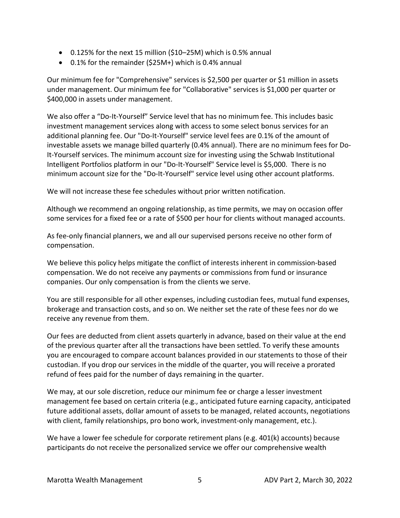- $\bullet$  0.125% for the next 15 million (\$10–25M) which is 0.5% annual
- 0.1% for the remainder (\$25M+) which is 0.4% annual

Our minimum fee for "Comprehensive" services is \$2,500 per quarter or \$1 million in assets under management. Our minimum fee for "Collaborative" services is \$1,000 per quarter or \$400,000 in assets under management.

We also offer a "Do-It-Yourself" Service level that has no minimum fee. This includes basic investment management services along with access to some select bonus services for an additional planning fee. Our "Do-It-Yourself" service level fees are 0.1% of the amount of investable assets we manage billed quarterly (0.4% annual). There are no minimum fees for Do-It-Yourself services. The minimum account size for investing using the Schwab Institutional Intelligent Portfolios platform in our "Do-It-Yourself" Service level is \$5,000. There is no minimum account size for the "Do-It-Yourself" service level using other account platforms.

We will not increase these fee schedules without prior written notification.

Although we recommend an ongoing relationship, as time permits, we may on occasion offer some services for a fixed fee or a rate of \$500 per hour for clients without managed accounts.

As fee-only financial planners, we and all our supervised persons receive no other form of compensation.

We believe this policy helps mitigate the conflict of interests inherent in commission-based compensation. We do not receive any payments or commissions from fund or insurance companies. Our only compensation is from the clients we serve.

You are still responsible for all other expenses, including custodian fees, mutual fund expenses, brokerage and transaction costs, and so on. We neither set the rate of these fees nor do we receive any revenue from them.

Our fees are deducted from client assets quarterly in advance, based on their value at the end of the previous quarter after all the transactions have been settled. To verify these amounts you are encouraged to compare account balances provided in our statements to those of their custodian. If you drop our services in the middle of the quarter, you will receive a prorated refund of fees paid for the number of days remaining in the quarter.

We may, at our sole discretion, reduce our minimum fee or charge a lesser investment management fee based on certain criteria (e.g., anticipated future earning capacity, anticipated future additional assets, dollar amount of assets to be managed, related accounts, negotiations with client, family relationships, pro bono work, investment-only management, etc.).

We have a lower fee schedule for corporate retirement plans (e.g. 401(k) accounts) because participants do not receive the personalized service we offer our comprehensive wealth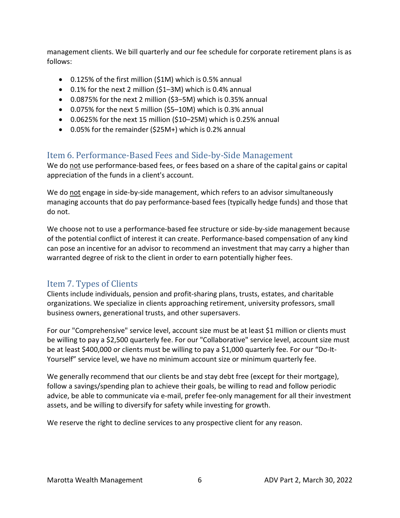management clients. We bill quarterly and our fee schedule for corporate retirement plans is as follows:

- 0.125% of the first million (\$1M) which is 0.5% annual
- 0.1% for the next 2 million (\$1–3M) which is 0.4% annual
- 0.0875% for the next 2 million (\$3–5M) which is 0.35% annual
- 0.075% for the next 5 million (\$5–10M) which is 0.3% annual
- $\bullet$  0.0625% for the next 15 million (\$10–25M) which is 0.25% annual
- 0.05% for the remainder (\$25M+) which is 0.2% annual

### Item 6. Performance-Based Fees and Side-by-Side Management

We do not use performance-based fees, or fees based on a share of the capital gains or capital appreciation of the funds in a client's account.

We do not engage in side-by-side management, which refers to an advisor simultaneously managing accounts that do pay performance-based fees (typically hedge funds) and those that do not.

We choose not to use a performance-based fee structure or side-by-side management because of the potential conflict of interest it can create. Performance-based compensation of any kind can pose an incentive for an advisor to recommend an investment that may carry a higher than warranted degree of risk to the client in order to earn potentially higher fees.

### Item 7. Types of Clients

Clients include individuals, pension and profit-sharing plans, trusts, estates, and charitable organizations. We specialize in clients approaching retirement, university professors, small business owners, generational trusts, and other supersavers.

For our "Comprehensive" service level, account size must be at least \$1 million or clients must be willing to pay a \$2,500 quarterly fee. For our "Collaborative" service level, account size must be at least \$400,000 or clients must be willing to pay a \$1,000 quarterly fee. For our "Do-It-Yourself" service level, we have no minimum account size or minimum quarterly fee.

We generally recommend that our clients be and stay debt free (except for their mortgage), follow a savings/spending plan to achieve their goals, be willing to read and follow periodic advice, be able to communicate via e-mail, prefer fee-only management for all their investment assets, and be willing to diversify for safety while investing for growth.

We reserve the right to decline services to any prospective client for any reason.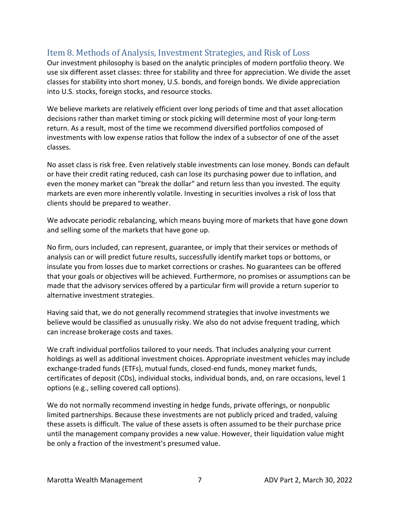### Item 8. Methods of Analysis, Investment Strategies, and Risk of Loss

Our investment philosophy is based on the analytic principles of modern portfolio theory. We use six different asset classes: three for stability and three for appreciation. We divide the asset classes for stability into short money, U.S. bonds, and foreign bonds. We divide appreciation into U.S. stocks, foreign stocks, and resource stocks.

We believe markets are relatively efficient over long periods of time and that asset allocation decisions rather than market timing or stock picking will determine most of your long-term return. As a result, most of the time we recommend diversified portfolios composed of investments with low expense ratios that follow the index of a subsector of one of the asset classes.

No asset class is risk free. Even relatively stable investments can lose money. Bonds can default or have their credit rating reduced, cash can lose its purchasing power due to inflation, and even the money market can "break the dollar" and return less than you invested. The equity markets are even more inherently volatile. Investing in securities involves a risk of loss that clients should be prepared to weather.

We advocate periodic rebalancing, which means buying more of markets that have gone down and selling some of the markets that have gone up.

No firm, ours included, can represent, guarantee, or imply that their services or methods of analysis can or will predict future results, successfully identify market tops or bottoms, or insulate you from losses due to market corrections or crashes. No guarantees can be offered that your goals or objectives will be achieved. Furthermore, no promises or assumptions can be made that the advisory services offered by a particular firm will provide a return superior to alternative investment strategies.

Having said that, we do not generally recommend strategies that involve investments we believe would be classified as unusually risky. We also do not advise frequent trading, which can increase brokerage costs and taxes.

We craft individual portfolios tailored to your needs. That includes analyzing your current holdings as well as additional investment choices. Appropriate investment vehicles may include exchange-traded funds (ETFs), mutual funds, closed-end funds, money market funds, certificates of deposit (CDs), individual stocks, individual bonds, and, on rare occasions, level 1 options (e.g., selling covered call options).

We do not normally recommend investing in hedge funds, private offerings, or nonpublic limited partnerships. Because these investments are not publicly priced and traded, valuing these assets is difficult. The value of these assets is often assumed to be their purchase price until the management company provides a new value. However, their liquidation value might be only a fraction of the investment's presumed value.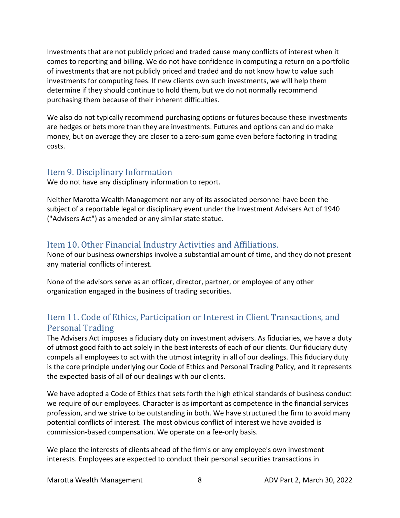Investments that are not publicly priced and traded cause many conflicts of interest when it comes to reporting and billing. We do not have confidence in computing a return on a portfolio of investments that are not publicly priced and traded and do not know how to value such investments for computing fees. If new clients own such investments, we will help them determine if they should continue to hold them, but we do not normally recommend purchasing them because of their inherent difficulties.

We also do not typically recommend purchasing options or futures because these investments are hedges or bets more than they are investments. Futures and options can and do make money, but on average they are closer to a zero-sum game even before factoring in trading costs.

#### Item 9. Disciplinary Information

We do not have any disciplinary information to report.

Neither Marotta Wealth Management nor any of its associated personnel have been the subject of a reportable legal or disciplinary event under the Investment Advisers Act of 1940 ("Advisers Act") as amended or any similar state statue.

### Item 10. Other Financial Industry Activities and Affiliations.

None of our business ownerships involve a substantial amount of time, and they do not present any material conflicts of interest.

None of the advisors serve as an officer, director, partner, or employee of any other organization engaged in the business of trading securities.

### Item 11. Code of Ethics, Participation or Interest in Client Transactions, and Personal Trading

The Advisers Act imposes a fiduciary duty on investment advisers. As fiduciaries, we have a duty of utmost good faith to act solely in the best interests of each of our clients. Our fiduciary duty compels all employees to act with the utmost integrity in all of our dealings. This fiduciary duty is the core principle underlying our Code of Ethics and Personal Trading Policy, and it represents the expected basis of all of our dealings with our clients.

We have adopted a Code of Ethics that sets forth the high ethical standards of business conduct we require of our employees. Character is as important as competence in the financial services profession, and we strive to be outstanding in both. We have structured the firm to avoid many potential conflicts of interest. The most obvious conflict of interest we have avoided is commission-based compensation. We operate on a fee-only basis.

We place the interests of clients ahead of the firm's or any employee's own investment interests. Employees are expected to conduct their personal securities transactions in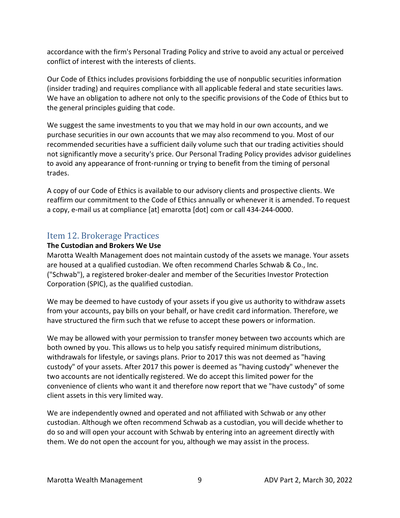accordance with the firm's Personal Trading Policy and strive to avoid any actual or perceived conflict of interest with the interests of clients.

Our Code of Ethics includes provisions forbidding the use of nonpublic securities information (insider trading) and requires compliance with all applicable federal and state securities laws. We have an obligation to adhere not only to the specific provisions of the Code of Ethics but to the general principles guiding that code.

We suggest the same investments to you that we may hold in our own accounts, and we purchase securities in our own accounts that we may also recommend to you. Most of our recommended securities have a sufficient daily volume such that our trading activities should not significantly move a security's price. Our Personal Trading Policy provides advisor guidelines to avoid any appearance of front-running or trying to benefit from the timing of personal trades.

A copy of our Code of Ethics is available to our advisory clients and prospective clients. We reaffirm our commitment to the Code of Ethics annually or whenever it is amended. To request a copy, e-mail us at compliance [at] emarotta [dot] com or call 434-244-0000.

### Item 12. Brokerage Practices

#### The Custodian and Brokers We Use

Marotta Wealth Management does not maintain custody of the assets we manage. Your assets are housed at a qualified custodian. We often recommend Charles Schwab & Co., Inc. ("Schwab"), a registered broker-dealer and member of the Securities Investor Protection Corporation (SPIC), as the qualified custodian.

We may be deemed to have custody of your assets if you give us authority to withdraw assets from your accounts, pay bills on your behalf, or have credit card information. Therefore, we have structured the firm such that we refuse to accept these powers or information.

We may be allowed with your permission to transfer money between two accounts which are both owned by you. This allows us to help you satisfy required minimum distributions, withdrawals for lifestyle, or savings plans. Prior to 2017 this was not deemed as "having custody" of your assets. After 2017 this power is deemed as "having custody" whenever the two accounts are not identically registered. We do accept this limited power for the convenience of clients who want it and therefore now report that we "have custody" of some client assets in this very limited way.

We are independently owned and operated and not affiliated with Schwab or any other custodian. Although we often recommend Schwab as a custodian, you will decide whether to do so and will open your account with Schwab by entering into an agreement directly with them. We do not open the account for you, although we may assist in the process.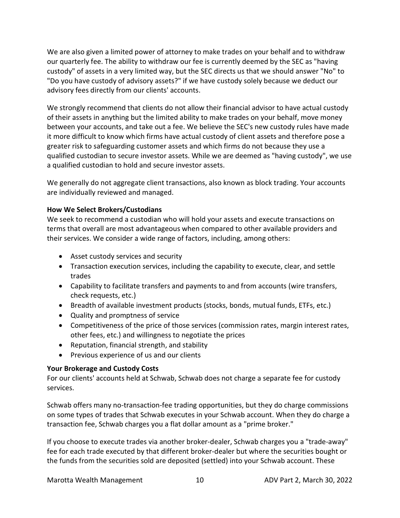We are also given a limited power of attorney to make trades on your behalf and to withdraw our quarterly fee. The ability to withdraw our fee is currently deemed by the SEC as "having custody" of assets in a very limited way, but the SEC directs us that we should answer "No" to "Do you have custody of advisory assets?" if we have custody solely because we deduct our advisory fees directly from our clients' accounts.

We strongly recommend that clients do not allow their financial advisor to have actual custody of their assets in anything but the limited ability to make trades on your behalf, move money between your accounts, and take out a fee. We believe the SEC's new custody rules have made it more difficult to know which firms have actual custody of client assets and therefore pose a greater risk to safeguarding customer assets and which firms do not because they use a qualified custodian to secure investor assets. While we are deemed as "having custody", we use a qualified custodian to hold and secure investor assets.

We generally do not aggregate client transactions, also known as block trading. Your accounts are individually reviewed and managed.

#### How We Select Brokers/Custodians

We seek to recommend a custodian who will hold your assets and execute transactions on terms that overall are most advantageous when compared to other available providers and their services. We consider a wide range of factors, including, among others:

- Asset custody services and security
- Transaction execution services, including the capability to execute, clear, and settle trades
- Capability to facilitate transfers and payments to and from accounts (wire transfers, check requests, etc.)
- Breadth of available investment products (stocks, bonds, mutual funds, ETFs, etc.)
- Quality and promptness of service
- Competitiveness of the price of those services (commission rates, margin interest rates, other fees, etc.) and willingness to negotiate the prices
- Reputation, financial strength, and stability
- Previous experience of us and our clients

#### Your Brokerage and Custody Costs

For our clients' accounts held at Schwab, Schwab does not charge a separate fee for custody services.

Schwab offers many no-transaction-fee trading opportunities, but they do charge commissions on some types of trades that Schwab executes in your Schwab account. When they do charge a transaction fee, Schwab charges you a flat dollar amount as a "prime broker."

If you choose to execute trades via another broker-dealer, Schwab charges you a "trade-away" fee for each trade executed by that different broker-dealer but where the securities bought or the funds from the securities sold are deposited (settled) into your Schwab account. These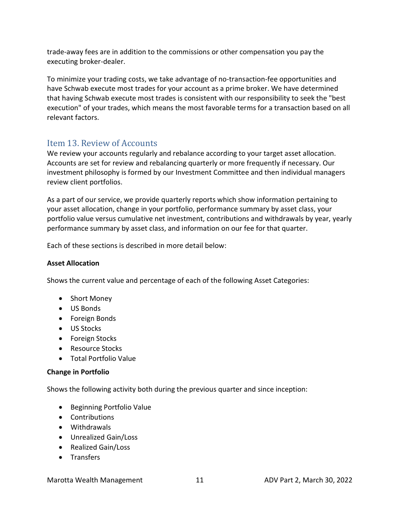trade-away fees are in addition to the commissions or other compensation you pay the executing broker-dealer.

To minimize your trading costs, we take advantage of no-transaction-fee opportunities and have Schwab execute most trades for your account as a prime broker. We have determined that having Schwab execute most trades is consistent with our responsibility to seek the "best execution" of your trades, which means the most favorable terms for a transaction based on all relevant factors.

### Item 13. Review of Accounts

We review your accounts regularly and rebalance according to your target asset allocation. Accounts are set for review and rebalancing quarterly or more frequently if necessary. Our investment philosophy is formed by our Investment Committee and then individual managers review client portfolios.

As a part of our service, we provide quarterly reports which show information pertaining to your asset allocation, change in your portfolio, performance summary by asset class, your portfolio value versus cumulative net investment, contributions and withdrawals by year, yearly performance summary by asset class, and information on our fee for that quarter.

Each of these sections is described in more detail below:

#### Asset Allocation

Shows the current value and percentage of each of the following Asset Categories:

- Short Money
- US Bonds
- Foreign Bonds
- US Stocks
- **•** Foreign Stocks
- Resource Stocks
- Total Portfolio Value

#### Change in Portfolio

Shows the following activity both during the previous quarter and since inception:

- Beginning Portfolio Value
- Contributions
- Withdrawals
- Unrealized Gain/Loss
- Realized Gain/Loss
- Transfers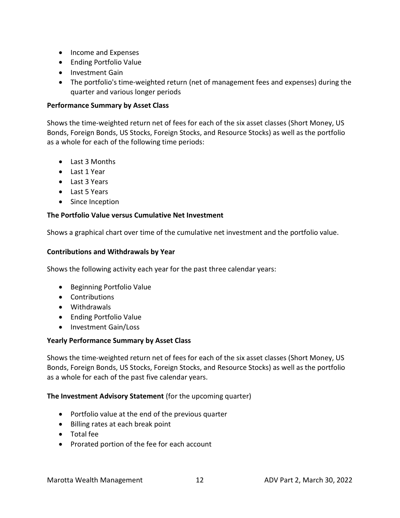- Income and Expenses
- Ending Portfolio Value
- Investment Gain
- The portfolio's time-weighted return (net of management fees and expenses) during the quarter and various longer periods

#### Performance Summary by Asset Class

Shows the time-weighted return net of fees for each of the six asset classes (Short Money, US Bonds, Foreign Bonds, US Stocks, Foreign Stocks, and Resource Stocks) as well as the portfolio as a whole for each of the following time periods:

- Last 3 Months
- Last 1 Year
- Last 3 Years
- Last 5 Years
- Since Inception

#### The Portfolio Value versus Cumulative Net Investment

Shows a graphical chart over time of the cumulative net investment and the portfolio value.

#### Contributions and Withdrawals by Year

Shows the following activity each year for the past three calendar years:

- Beginning Portfolio Value
- Contributions
- Withdrawals
- Ending Portfolio Value
- Investment Gain/Loss

#### Yearly Performance Summary by Asset Class

Shows the time-weighted return net of fees for each of the six asset classes (Short Money, US Bonds, Foreign Bonds, US Stocks, Foreign Stocks, and Resource Stocks) as well as the portfolio as a whole for each of the past five calendar years.

#### The Investment Advisory Statement (for the upcoming quarter)

- Portfolio value at the end of the previous quarter
- Billing rates at each break point
- Total fee
- Prorated portion of the fee for each account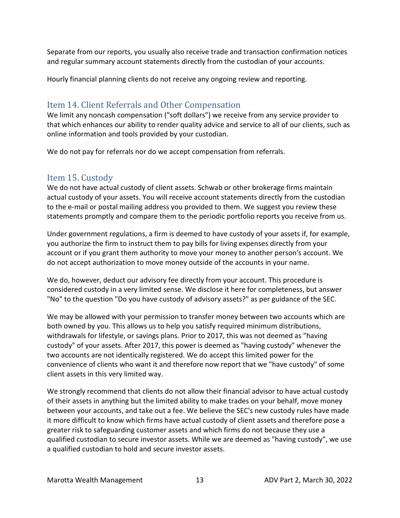Separate from our reports, you usually also receive trade and transaction confirmation notices and regular summary account statements directly from the custodian of your accounts.

Hourly financial planning clients do not receive any ongoing review and reporting.

### Item 14. Client Referrals and Other Compensation

We limit any noncash compensation ("soft dollars") we receive from any service provider to that which enhances our ability to render quality advice and service to all of our clients, such as online information and tools provided by your custodian.

We do not pay for referrals nor do we accept compensation from referrals.

### Item 15. Custody

We do not have actual custody of client assets. Schwab or other brokerage firms maintain actual custody of your assets. You will receive account statements directly from the custodian to the e-mail or postal mailing address you provided to them. We suggest you review these statements promptly and compare them to the periodic portfolio reports you receive from us.

Under government regulations, a firm is deemed to have custody of your assets if, for example, you authorize the firm to instruct them to pay bills for living expenses directly from your account or if you grant them authority to move your money to another person's account. We do not accept authorization to move money outside of the accounts in your name.

We do, however, deduct our advisory fee directly from your account. This procedure is considered custody in a very limited sense. We disclose it here for completeness, but answer "No" to the question "Do you have custody of advisory assets?" as per guidance of the SEC.

We may be allowed with your permission to transfer money between two accounts which are both owned by you. This allows us to help you satisfy required minimum distributions, withdrawals for lifestyle, or savings plans. Prior to 2017, this was not deemed as "having custody" of your assets. After 2017, this power is deemed as "having custody" whenever the two accounts are not identically registered. We do accept this limited power for the convenience of clients who want it and therefore now report that we "have custody" of some client assets in this very limited way.

We strongly recommend that clients do not allow their financial advisor to have actual custody of their assets in anything but the limited ability to make trades on your behalf, move money between your accounts, and take out a fee. We believe the SEC's new custody rules have made it more difficult to know which firms have actual custody of client assets and therefore pose a greater risk to safeguarding customer assets and which firms do not because they use a qualified custodian to secure investor assets. While we are deemed as "having custody", we use a qualified custodian to hold and secure investor assets.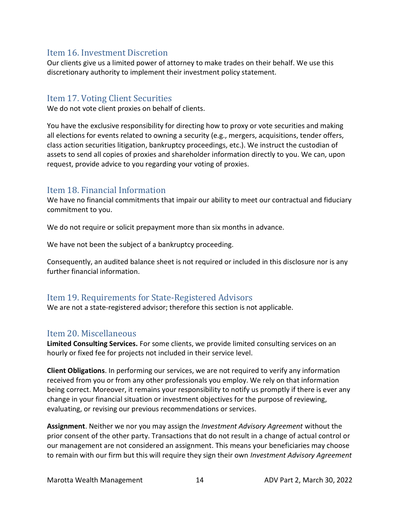### Item 16. Investment Discretion

Our clients give us a limited power of attorney to make trades on their behalf. We use this discretionary authority to implement their investment policy statement.

#### Item 17. Voting Client Securities

We do not vote client proxies on behalf of clients.

You have the exclusive responsibility for directing how to proxy or vote securities and making all elections for events related to owning a security (e.g., mergers, acquisitions, tender offers, class action securities litigation, bankruptcy proceedings, etc.). We instruct the custodian of assets to send all copies of proxies and shareholder information directly to you. We can, upon request, provide advice to you regarding your voting of proxies.

### Item 18. Financial Information

We have no financial commitments that impair our ability to meet our contractual and fiduciary commitment to you.

We do not require or solicit prepayment more than six months in advance.

We have not been the subject of a bankruptcy proceeding.

Consequently, an audited balance sheet is not required or included in this disclosure nor is any further financial information.

### Item 19. Requirements for State-Registered Advisors

We are not a state-registered advisor; therefore this section is not applicable.

#### Item 20. Miscellaneous

Limited Consulting Services. For some clients, we provide limited consulting services on an hourly or fixed fee for projects not included in their service level.

Client Obligations. In performing our services, we are not required to verify any information received from you or from any other professionals you employ. We rely on that information being correct. Moreover, it remains your responsibility to notify us promptly if there is ever any change in your financial situation or investment objectives for the purpose of reviewing, evaluating, or revising our previous recommendations or services.

**Assignment**. Neither we nor you may assign the *Investment Advisory Agreement* without the prior consent of the other party. Transactions that do not result in a change of actual control or our management are not considered an assignment. This means your beneficiaries may choose to remain with our firm but this will require they sign their own *Investment Advisory Agreement*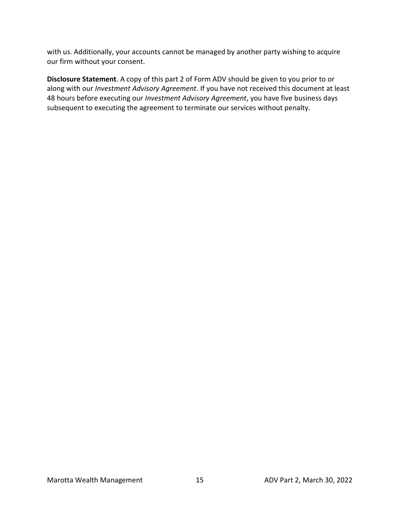with us. Additionally, your accounts cannot be managed by another party wishing to acquire our firm without your consent.

Disclosure Statement. A copy of this part 2 of Form ADV should be given to you prior to or along with our Investment Advisory Agreement. If you have not received this document at least 48 hours before executing our Investment Advisory Agreement, you have five business days subsequent to executing the agreement to terminate our services without penalty.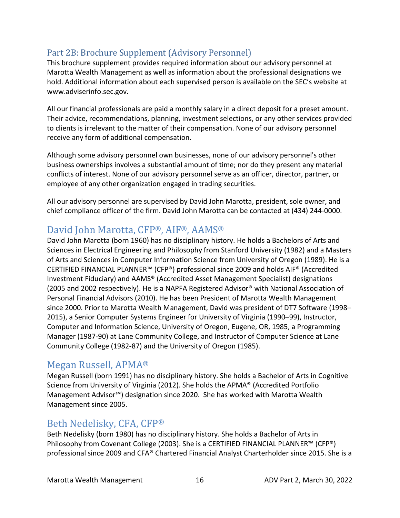## Part 2B: Brochure Supplement (Advisory Personnel)

This brochure supplement provides required information about our advisory personnel at Marotta Wealth Management as well as information about the professional designations we hold. Additional information about each supervised person is available on the SEC's website at www.adviserinfo.sec.gov.

All our financial professionals are paid a monthly salary in a direct deposit for a preset amount. Their advice, recommendations, planning, investment selections, or any other services provided to clients is irrelevant to the matter of their compensation. None of our advisory personnel receive any form of additional compensation.

Although some advisory personnel own businesses, none of our advisory personnel's other business ownerships involves a substantial amount of time; nor do they present any material conflicts of interest. None of our advisory personnel serve as an officer, director, partner, or employee of any other organization engaged in trading securities.

All our advisory personnel are supervised by David John Marotta, president, sole owner, and chief compliance officer of the firm. David John Marotta can be contacted at (434) 244-0000.

## David John Marotta, CFP®, AIF®, AAMS®

David John Marotta (born 1960) has no disciplinary history. He holds a Bachelors of Arts and Sciences in Electrical Engineering and Philosophy from Stanford University (1982) and a Masters of Arts and Sciences in Computer Information Science from University of Oregon (1989). He is a CERTIFIED FINANCIAL PLANNER™ (CFP®) professional since 2009 and holds AIF® (Accredited Investment Fiduciary) and AAMS® (Accredited Asset Management Specialist) designations (2005 and 2002 respectively). He is a NAPFA Registered Advisor® with National Association of Personal Financial Advisors (2010). He has been President of Marotta Wealth Management since 2000. Prior to Marotta Wealth Management, David was president of DT7 Software (1998– 2015), a Senior Computer Systems Engineer for University of Virginia (1990–99), Instructor, Computer and Information Science, University of Oregon, Eugene, OR, 1985, a Programming Manager (1987-90) at Lane Community College, and Instructor of Computer Science at Lane Community College (1982-87) and the University of Oregon (1985).

## Megan Russell, APMA®

Megan Russell (born 1991) has no disciplinary history. She holds a Bachelor of Arts in Cognitive Science from University of Virginia (2012). She holds the APMA® (Accredited Portfolio Management Advisor℠) designation since 2020. She has worked with Marotta Wealth Management since 2005.

## Beth Nedelisky, CFA, CFP®

Beth Nedelisky (born 1980) has no disciplinary history. She holds a Bachelor of Arts in Philosophy from Covenant College (2003). She is a CERTIFIED FINANCIAL PLANNER™ (CFP®) professional since 2009 and CFA® Chartered Financial Analyst Charterholder since 2015. She is a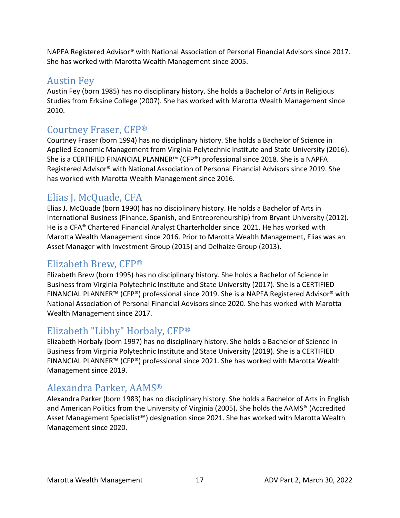NAPFA Registered Advisor® with National Association of Personal Financial Advisors since 2017. She has worked with Marotta Wealth Management since 2005.

## Austin Fey

Austin Fey (born 1985) has no disciplinary history. She holds a Bachelor of Arts in Religious Studies from Erksine College (2007). She has worked with Marotta Wealth Management since 2010.

## Courtney Fraser, CFP®

Courtney Fraser (born 1994) has no disciplinary history. She holds a Bachelor of Science in Applied Economic Management from Virginia Polytechnic Institute and State University (2016). She is a CERTIFIED FINANCIAL PLANNER™ (CFP®) professional since 2018. She is a NAPFA Registered Advisor® with National Association of Personal Financial Advisors since 2019. She has worked with Marotta Wealth Management since 2016.

## Elias J. McQuade, CFA

Elias J. McQuade (born 1990) has no disciplinary history. He holds a Bachelor of Arts in International Business (Finance, Spanish, and Entrepreneurship) from Bryant University (2012). He is a CFA® Chartered Financial Analyst Charterholder since 2021. He has worked with Marotta Wealth Management since 2016. Prior to Marotta Wealth Management, Elias was an Asset Manager with Investment Group (2015) and Delhaize Group (2013).

## Elizabeth Brew, CFP®

Elizabeth Brew (born 1995) has no disciplinary history. She holds a Bachelor of Science in Business from Virginia Polytechnic Institute and State University (2017). She is a CERTIFIED FINANCIAL PLANNER™ (CFP®) professional since 2019. She is a NAPFA Registered Advisor® with National Association of Personal Financial Advisors since 2020. She has worked with Marotta Wealth Management since 2017.

## Elizabeth "Libby" Horbaly, CFP®

Elizabeth Horbaly (born 1997) has no disciplinary history. She holds a Bachelor of Science in Business from Virginia Polytechnic Institute and State University (2019). She is a CERTIFIED FINANCIAL PLANNER™ (CFP®) professional since 2021. She has worked with Marotta Wealth Management since 2019.

## Alexandra Parker, AAMS®

Alexandra Parker (born 1983) has no disciplinary history. She holds a Bachelor of Arts in English and American Politics from the University of Virginia (2005). She holds the AAMS® (Accredited Asset Management Specialist<sup>5M</sup>) designation since 2021. She has worked with Marotta Wealth Management since 2020.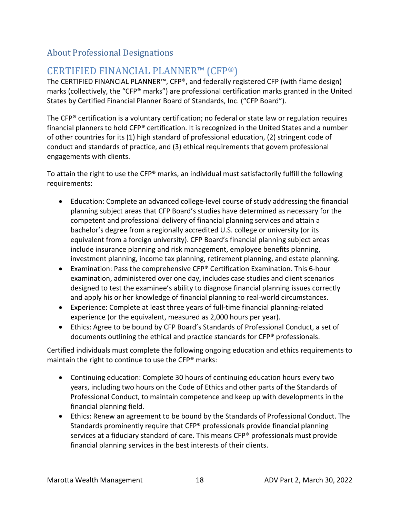### About Professional Designations

## CERTIFIED FINANCIAL PLANNER™ (CFP®)

The CERTIFIED FINANCIAL PLANNER™, CFP®, and federally registered CFP (with flame design) marks (collectively, the "CFP® marks") are professional certification marks granted in the United States by Certified Financial Planner Board of Standards, Inc. ("CFP Board").

The CFP® certification is a voluntary certification; no federal or state law or regulation requires financial planners to hold CFP® certification. It is recognized in the United States and a number of other countries for its (1) high standard of professional education, (2) stringent code of conduct and standards of practice, and (3) ethical requirements that govern professional engagements with clients.

To attain the right to use the CFP® marks, an individual must satisfactorily fulfill the following requirements:

- Education: Complete an advanced college-level course of study addressing the financial planning subject areas that CFP Board's studies have determined as necessary for the competent and professional delivery of financial planning services and attain a bachelor's degree from a regionally accredited U.S. college or university (or its equivalent from a foreign university). CFP Board's financial planning subject areas include insurance planning and risk management, employee benefits planning, investment planning, income tax planning, retirement planning, and estate planning.
- Examination: Pass the comprehensive CFP® Certification Examination. This 6-hour examination, administered over one day, includes case studies and client scenarios designed to test the examinee's ability to diagnose financial planning issues correctly and apply his or her knowledge of financial planning to real-world circumstances.
- Experience: Complete at least three years of full-time financial planning-related experience (or the equivalent, measured as 2,000 hours per year).
- Ethics: Agree to be bound by CFP Board's Standards of Professional Conduct, a set of documents outlining the ethical and practice standards for CFP® professionals.

Certified individuals must complete the following ongoing education and ethics requirements to maintain the right to continue to use the CFP® marks:

- Continuing education: Complete 30 hours of continuing education hours every two years, including two hours on the Code of Ethics and other parts of the Standards of Professional Conduct, to maintain competence and keep up with developments in the financial planning field.
- Ethics: Renew an agreement to be bound by the Standards of Professional Conduct. The Standards prominently require that CFP® professionals provide financial planning services at a fiduciary standard of care. This means CFP® professionals must provide financial planning services in the best interests of their clients.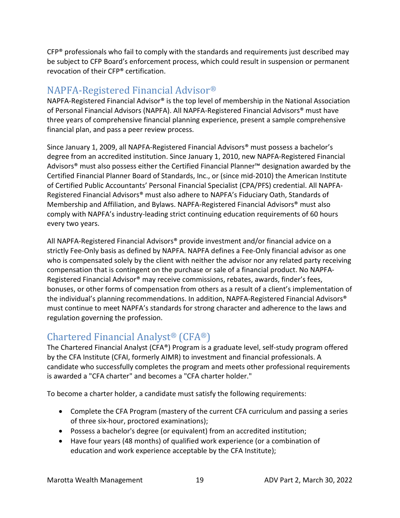$CFP<sup>®</sup>$  professionals who fail to comply with the standards and requirements just described may be subject to CFP Board's enforcement process, which could result in suspension or permanent revocation of their CFP® certification.

## NAPFA-Registered Financial Advisor®

NAPFA-Registered Financial Advisor® is the top level of membership in the National Association of Personal Financial Advisors (NAPFA). All NAPFA-Registered Financial Advisors® must have three years of comprehensive financial planning experience, present a sample comprehensive financial plan, and pass a peer review process.

Since January 1, 2009, all NAPFA-Registered Financial Advisors® must possess a bachelor's degree from an accredited institution. Since January 1, 2010, new NAPFA-Registered Financial Advisors® must also possess either the Certified Financial Planner™ designation awarded by the Certified Financial Planner Board of Standards, Inc., or (since mid-2010) the American Institute of Certified Public Accountants' Personal Financial Specialist (CPA/PFS) credential. All NAPFA-Registered Financial Advisors® must also adhere to NAPFA's Fiduciary Oath, Standards of Membership and Affiliation, and Bylaws. NAPFA-Registered Financial Advisors® must also comply with NAPFA's industry-leading strict continuing education requirements of 60 hours every two years.

All NAPFA-Registered Financial Advisors® provide investment and/or financial advice on a strictly Fee-Only basis as defined by NAPFA. NAPFA defines a Fee-Only financial advisor as one who is compensated solely by the client with neither the advisor nor any related party receiving compensation that is contingent on the purchase or sale of a financial product. No NAPFA-Registered Financial Advisor® may receive commissions, rebates, awards, finder's fees, bonuses, or other forms of compensation from others as a result of a client's implementation of the individual's planning recommendations. In addition, NAPFA-Registered Financial Advisors® must continue to meet NAPFA's standards for strong character and adherence to the laws and regulation governing the profession.

## Chartered Financial Analyst® (CFA®)

The Chartered Financial Analyst (CFA®) Program is a graduate level, self-study program offered by the CFA Institute (CFAI, formerly AIMR) to investment and financial professionals. A candidate who successfully completes the program and meets other professional requirements is awarded a "CFA charter" and becomes a "CFA charter holder."

To become a charter holder, a candidate must satisfy the following requirements:

- Complete the CFA Program (mastery of the current CFA curriculum and passing a series of three six-hour, proctored examinations);
- Possess a bachelor's degree (or equivalent) from an accredited institution;
- Have four years (48 months) of qualified work experience (or a combination of education and work experience acceptable by the CFA Institute);